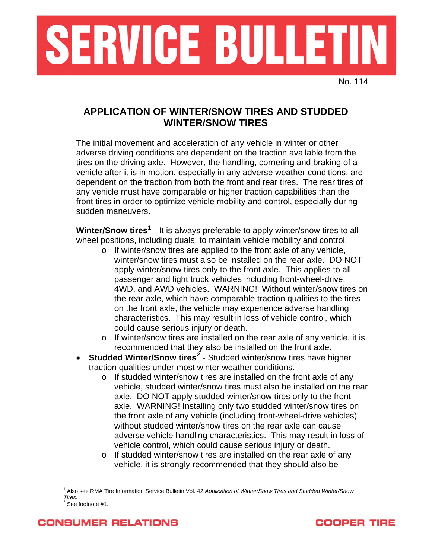

No. 114

## **APPLICATION OF WINTER/SNOW TIRES AND STUDDED WINTER/SNOW TIRES**

The initial movement and acceleration of any vehicle in winter or other adverse driving conditions are dependent on the traction available from the tires on the driving axle. However, the handling, cornering and braking of a vehicle after it is in motion, especially in any adverse weather conditions, are dependent on the traction from both the front and rear tires. The rear tires of any vehicle must have comparable or higher traction capabilities than the front tires in order to optimize vehicle mobility and control, especially during sudden maneuvers.

Winter/Snow tires<sup>[1](#page-0-0)</sup> - It is always preferable to apply winter/snow tires to all wheel positions, including duals, to maintain vehicle mobility and control.

- o If winter/snow tires are applied to the front axle of any vehicle, winter/snow tires must also be installed on the rear axle. DO NOT apply winter/snow tires only to the front axle. This applies to all passenger and light truck vehicles including front-wheel-drive, 4WD, and AWD vehicles. WARNING! Without winter/snow tires on the rear axle, which have comparable traction qualities to the tires on the front axle, the vehicle may experience adverse handling characteristics. This may result in loss of vehicle control, which could cause serious injury or death.
- o If winter/snow tires are installed on the rear axle of any vehicle, it is recommended that they also be installed on the front axle.
- **Studded Winter/Snow tires[2](#page-0-1)** Studded winter/snow tires have higher traction qualities under most winter weather conditions.
	- o If studded winter/snow tires are installed on the front axle of any vehicle, studded winter/snow tires must also be installed on the rear axle. DO NOT apply studded winter/snow tires only to the front axle. WARNING! Installing only two studded winter/snow tires on the front axle of any vehicle (including front-wheel-drive vehicles) without studded winter/snow tires on the rear axle can cause adverse vehicle handling characteristics. This may result in loss of vehicle control, which could cause serious injury or death.
	- o If studded winter/snow tires are installed on the rear axle of any vehicle, it is strongly recommended that they should also be

 $\overline{a}$ 



<span id="page-0-0"></span><sup>&</sup>lt;sup>1</sup> Also see RMA Tire Information Service Bulletin Vol. 42 *Application of Winter/Snow Tires and Studded Winter/Snow Tires.*<br><sup>2</sup> See footnote #1.

<span id="page-0-1"></span>